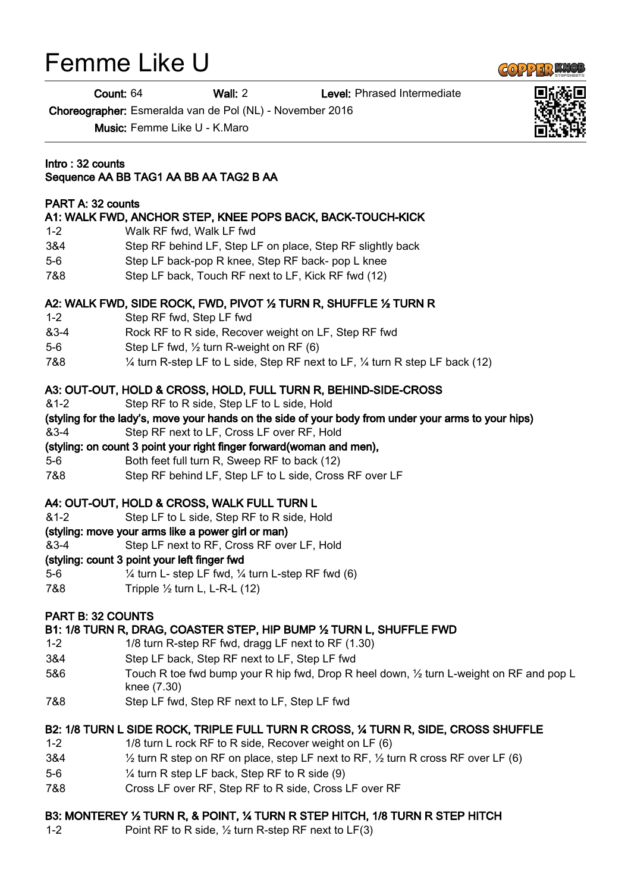# Femme Like U

Count: 64 Wall: 2 Level: Phrased Intermediate

Choreographer: Esmeralda van de Pol (NL) - November 2016

Music: Femme Like U - K.Maro

#### Intro : 32 counts

# Sequence AA BB TAG1 AA BB AA TAG2 B AA

#### PART A: 32 counts

## A1: WALK FWD, ANCHOR STEP, KNEE POPS BACK, BACK-TOUCH-KICK

- 1-2 Walk RF fwd, Walk LF fwd
- 3&4 Step RF behind LF, Step LF on place, Step RF slightly back
- 5-6 Step LF back-pop R knee, Step RF back- pop L knee
- 7&8 Step LF back, Touch RF next to LF, Kick RF fwd (12)

#### A2: WALK FWD, SIDE ROCK, FWD, PIVOT ½ TURN R, SHUFFLE ½ TURN R

- 1-2 Step RF fwd, Step LF fwd
- &3-4 Rock RF to R side, Recover weight on LF, Step RF fwd
- 5-6 Step LF fwd, ½ turn R-weight on RF (6)
- 7&8 ¼ turn R-step LF to L side, Step RF next to LF, ¼ turn R step LF back (12)

#### A3: OUT-OUT, HOLD & CROSS, HOLD, FULL TURN R, BEHIND-SIDE-CROSS

- &1-2 Step RF to R side, Step LF to L side, Hold
- (styling for the lady's, move your hands on the side of your body from under your arms to your hips)
- &3-4 Step RF next to LF, Cross LF over RF, Hold

## (styling: on count 3 point your right finger forward(woman and men),

- 5-6 Both feet full turn R, Sweep RF to back (12)
- 7&8 Step RF behind LF, Step LF to L side, Cross RF over LF

#### A4: OUT-OUT, HOLD & CROSS, WALK FULL TURN L

&1-2 Step LF to L side, Step RF to R side, Hold

#### (styling: move your arms like a power girl or man)

&3-4 Step LF next to RF, Cross RF over LF, Hold

#### (styling: count 3 point your left finger fwd

- 5-6 ¼ turn L- step LF fwd, ¼ turn L-step RF fwd (6)
- 7&8 Tripple ½ turn L, L-R-L (12)

#### PART B: 32 COUNTS

#### B1: 1/8 TURN R, DRAG, COASTER STEP, HIP BUMP ½ TURN L, SHUFFLE FWD

- 1-2 1/8 turn R-step RF fwd, dragg LF next to RF (1.30)
- 3&4 Step LF back, Step RF next to LF, Step LF fwd
- 5&6 Touch R toe fwd bump your R hip fwd, Drop R heel down, 1/2 turn L-weight on RF and pop L knee (7.30)
- 7&8 Step LF fwd, Step RF next to LF, Step LF fwd

#### B2: 1/8 TURN L SIDE ROCK, TRIPLE FULL TURN R CROSS, ¼ TURN R, SIDE, CROSS SHUFFLE

- 1-2 1/8 turn L rock RF to R side, Recover weight on LF (6)
- 3&4 ½ turn R step on RF on place, step LF next to RF, ½ turn R cross RF over LF (6)
- 5-6 ¼ turn R step LF back, Step RF to R side (9)
- 7&8 Cross LF over RF, Step RF to R side, Cross LF over RF

#### B3: MONTEREY ½ TURN R, & POINT, ¼ TURN R STEP HITCH, 1/8 TURN R STEP HITCH

1-2 Point RF to R side, ½ turn R-step RF next to LF(3)